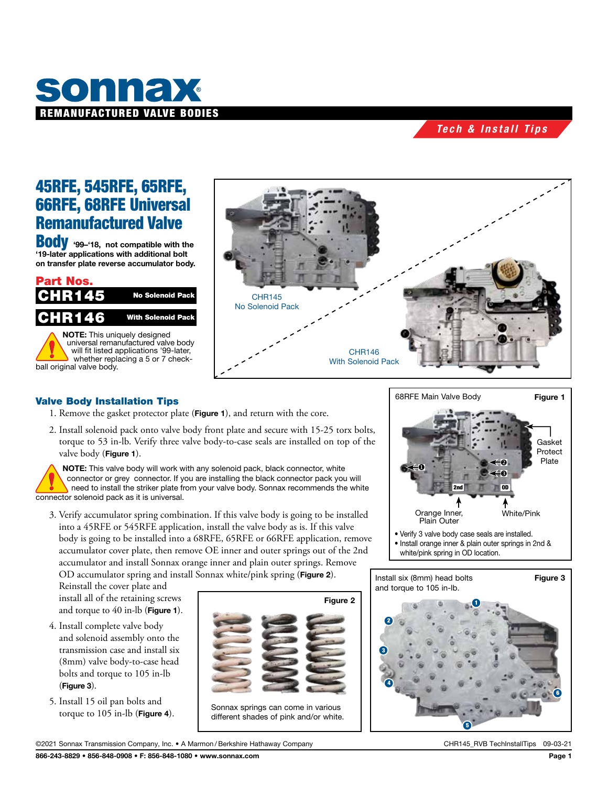

## *Tech & Install Tips*

# 45RFE, 545RFE, 65RFE, 66RFE, 68RFE Universal Remanufactured Valve

**BodV** '99-'18, not compatible with the '19-later applications with additional bolt on transfer plate reverse accumulator body.





### Valve Body Installation Tips

- 1. Remove the gasket protector plate (Figure 1), and return with the core.
- 2. Install solenoid pack onto valve body front plate and secure with 15-25 torx bolts, torque to 53 in-lb. Verify three valve body-to-case seals are installed on top of the valve body (Figure 1).

NOTE: This valve body will work with any solenoid pack, black connector, white connector or grey connector. If you are installing the black connector pack you will need to install the striker plate from your valve body. Sonnax recommends the white connector solenoid pack as it is universal.

3. Verify accumulator spring combination. If this valve body is going to be installed into a 45RFE or 545RFE application, install the valve body as is. If this valve body is going to be installed into a 68RFE, 65RFE or 66RFE application, remove accumulator cover plate, then remove OE inner and outer springs out of the 2nd accumulator and install Sonnax orange inner and plain outer springs. Remove OD accumulator spring and install Sonnax white/pink spring (Figure 2).

Reinstall the cover plate and install all of the retaining screws and torque to 40 in-lb (Figure 1).

- 4. Install complete valve body and solenoid assembly onto the transmission case and install six (8mm) valve body-to-case head bolts and torque to 105 in-lb (Figure 3).
- 5. Install 15 oil pan bolts and torque to 105 in-lb (Figure 4).



Sonnax springs can come in various different shades of pink and/or white.



- Install orange inner & plain outer springs in 2nd &
- white/pink spring in OD location.